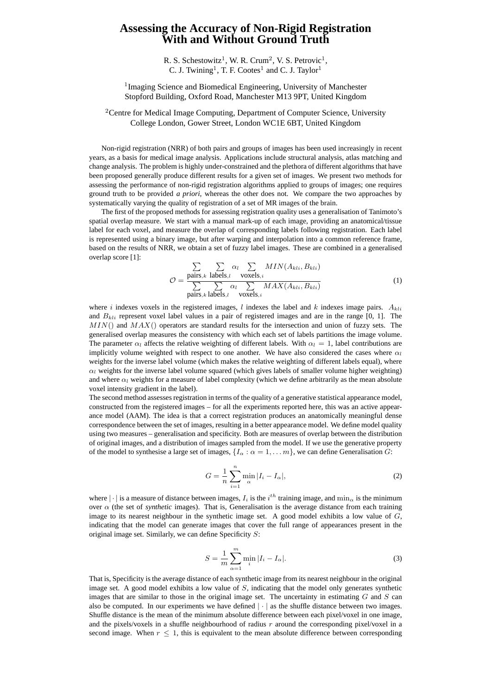## **Assessing the Accuracy of Non-Rigid Registration With and Without Ground Truth**

R. S. Schestowitz<sup>1</sup>, W. R. Crum<sup>2</sup>, V. S. Petrovic<sup>1</sup>, C. J. Twining<sup>1</sup>, T. F. Cootes<sup>1</sup> and C. J. Taylor<sup>1</sup>

<sup>1</sup>Imaging Science and Biomedical Engineering, University of Manchester Stopford Building, Oxford Road, Manchester M13 9PT, United Kingdom

<sup>2</sup>Centre for Medical Image Computing, Department of Computer Science, University College London, Gower Street, London WC1E 6BT, United Kingdom

Non-rigid registration (NRR) of both pairs and groups of images has been used increasingly in recent years, as a basis for medical image analysis. Applications include structural analysis, atlas matching and change analysis. The problem is highly under-constrained and the plethora of different algorithms that have been proposed generally produce different results for a given set of images. We present two methods for assessing the performance of non-rigid registration algorithms applied to groups of images; one requires ground truth to be provided *a priori*, whereas the other does not. We compare the two approaches by systematically varying the quality of registration of a set of MR images of the brain.

The first of the proposed methods for assessing registration quality uses a generalisation of Tanimoto's spatial overlap measure. We start with a manual mark-up of each image, providing an anatomical/tissue label for each voxel, and measure the overlap of corresponding labels following registration. Each label is represented using a binary image, but after warping and interpolation into a common reference frame, based on the results of NRR, we obtain a set of fuzzy label images. These are combined in a generalised overlap score [1]:  $\overline{ }$  $\overline{ }$  $\overline{ }$ 

$$
\mathcal{O} = \frac{\sum\limits_{\text{pairs},k} \sum\limits_{\text{labels},l} \alpha_l \sum\limits_{\text{voxels},i} MIN(A_{kli}, B_{kli})}{\sum\limits_{\text{pairs},k} \sum\limits_{\text{labels},l} \alpha_l \sum\limits_{\text{voxels},i} MAX(A_{kli}, B_{kli})}
$$
(1)

where i indexes voxels in the registered images, l indexes the label and k indexes image pairs.  $A_{kli}$ and  $B_{kli}$  represent voxel label values in a pair of registered images and are in the range [0, 1]. The  $MIN()$  and  $MAX()$  operators are standard results for the intersection and union of fuzzy sets. The generalised overlap measures the consistency with which each set of labels partitions the image volume. The parameter  $\alpha_l$  affects the relative weighting of different labels. With  $\alpha_l = 1$ , label contributions are implicitly volume weighted with respect to one another. We have also considered the cases where  $\alpha_l$ weights for the inverse label volume (which makes the relative weighting of different labels equal), where  $\alpha_l$  weights for the inverse label volume squared (which gives labels of smaller volume higher weighting) and where  $\alpha_l$  weights for a measure of label complexity (which we define arbitrarily as the mean absolute voxel intensity gradient in the label).

The second method assesses registration in terms of the quality of a generative statistical appearance model, constructed from the registered images – for all the experiments reported here, this was an active appearance model (AAM). The idea is that a correct registration produces an anatomically meaningful dense correspondence between the set of images, resulting in a better appearance model. We define model quality using two measures – generalisation and specificity. Both are measures of overlap between the distribution of original images, and a distribution of images sampled from the model. If we use the generative property of the model to synthesise a large set of images,  $\{I_\alpha : \alpha = 1, \dots m\}$ , we can define Generalisation G:

$$
G = \frac{1}{n} \sum_{i=1}^{n} \min_{\alpha} |I_i - I_{\alpha}|,\tag{2}
$$

where  $|\cdot|$  is a measure of distance between images,  $I_i$  is the  $i^{th}$  training image, and min<sub> $\alpha$ </sub> is the minimum over  $\alpha$  (the set of *synthetic* images). That is, Generalisation is the average distance from each training image to its nearest neighbour in the synthetic image set. A good model exhibits a low value of  $G$ , indicating that the model can generate images that cover the full range of appearances present in the original image set. Similarly, we can define Specificity S:

$$
S = \frac{1}{m} \sum_{\alpha=1}^{m} \min_{i} |I_i - I_{\alpha}|. \tag{3}
$$

That is, Specificity is the average distance of each synthetic image from its nearest neighbour in the original image set. A good model exhibits a low value of S, indicating that the model only generates synthetic images that are similar to those in the original image set. The uncertainty in estimating  $G$  and  $S$  can also be computed. In our experiments we have defined  $|\cdot|$  as the shuffle distance between two images. Shuffle distance is the mean of the minimum absolute difference between each pixel/voxel in one image, and the pixels/voxels in a shuffle neighbourhood of radius  $r$  around the corresponding pixel/voxel in a second image. When  $r \leq 1$ , this is equivalent to the mean absolute difference between corresponding